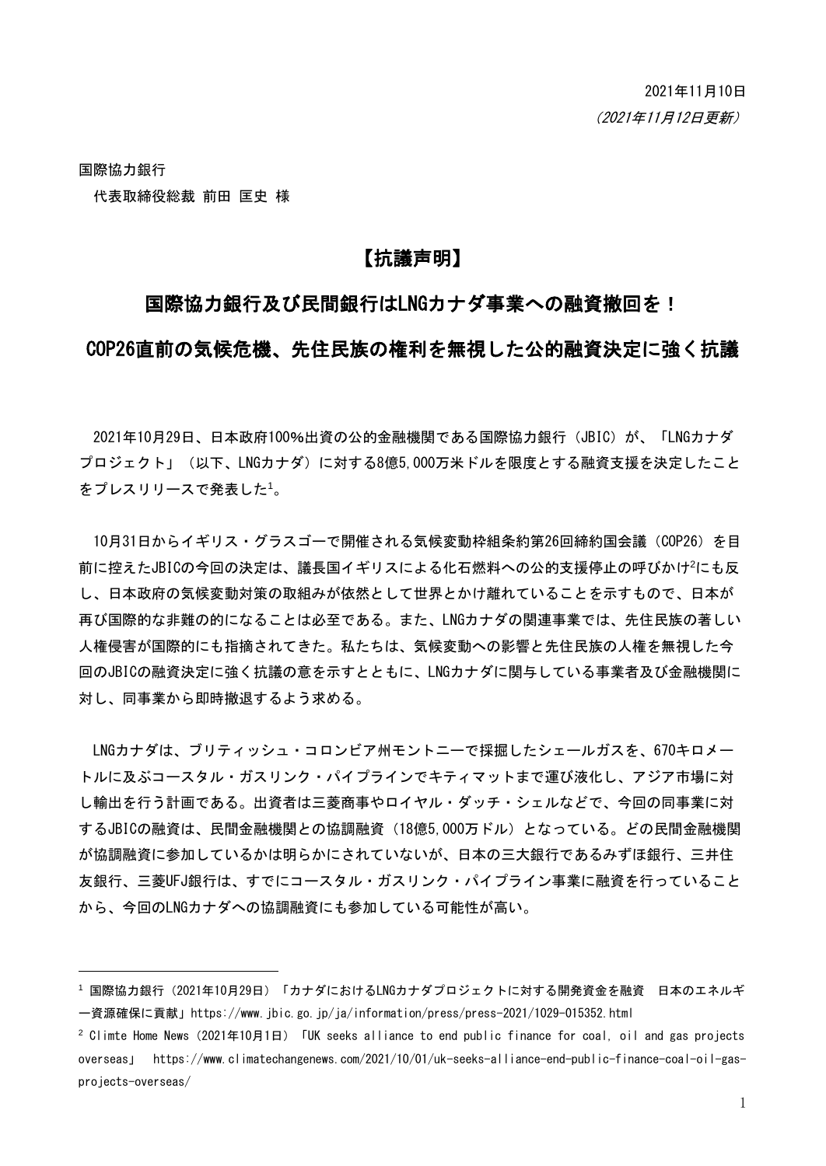国際協力銀行 代表取締役総裁 前田 匡史 様

-

# 【抗議声明】

### 国際協力銀行及び民間銀行はLNGカナダ事業への融資撤回を!

### COP26直前の気候危機、先住民族の権利を無視した公的融資決定に強く抗議

2021年10月29日、日本政府100%出資の公的金融機関である国際協力銀行 (JBIC) が、「LNGカナダ プロジェクト」(以下、LNGカナダ)に対する8億5,000万米ドルを限度とする融資支援を決定したこと をプレスリリースで発表した<sup>1</sup>。

10月31日からイギリス・グラスゴーで開催される気候変動枠組条約第26回締約国会議(COP26)を目 前に控えたJBICの今回の決定は、議長国イギリスによる化石燃料への公的支援停止の呼びかけ<sup>2</sup>にも反 し、日本政府の気候変動対策の取組みが依然として世界とかけ離れていることを示すもので、日本が 再び国際的な非難の的になることは必至である。また、LNGカナダの関連事業では、先住民族の著しい 人権侵害が国際的にも指摘されてきた。私たちは、気候変動への影響と先住民族の人権を無視した今 回のJBICの融資決定に強く抗議の意を示すとともに、LNGカナダに関与している事業者及び金融機関に 対し、同事業から即時撤退するよう求める。

LNGカナダは、ブリティッシュ・コロンビア州モントニーで採掘したシェールガスを、670キロメー トルに及ぶコースタル・ガスリンク・パイプラインでキティマットまで運び液化し、アジア市場に対 し輸出を行う計画である。出資者は三菱商事やロイヤル・ダッチ・シェルなどで、今回の同事業に対 するJBICの融資は、民間金融機関との協調融資(18億5,000万ドル)となっている。どの民間金融機関 が協調融資に参加しているかは明らかにされていないが、日本の三大銀行であるみずほ銀行、三井住 友銀行、三菱UFJ銀行は、すでにコースタル・ガスリンク・パイプライン事業に融資を行っていること から、今回のLNGカナダへの協調融資にも参加している可能性が高い。

<sup>&</sup>lt;sup>1</sup>国際協力銀行(2021年10月29日)「カナダにおけるLNGカナダプロジェクトに対する開発資金を融資 日本のエネルギ ー資源確保に貢献」https://www.jbic.go.jp/ja/information/press/press-2021/1029-015352.html

<sup>&</sup>lt;sup>2</sup> Climte Home News (2021年10月1日) 「UK seeks alliance to end public finance for coal, oil and gas projects overseas」 https://www.climatechangenews.com/2021/10/01/uk-seeks-alliance-end-public-finance-coal-oil-gasprojects-overseas/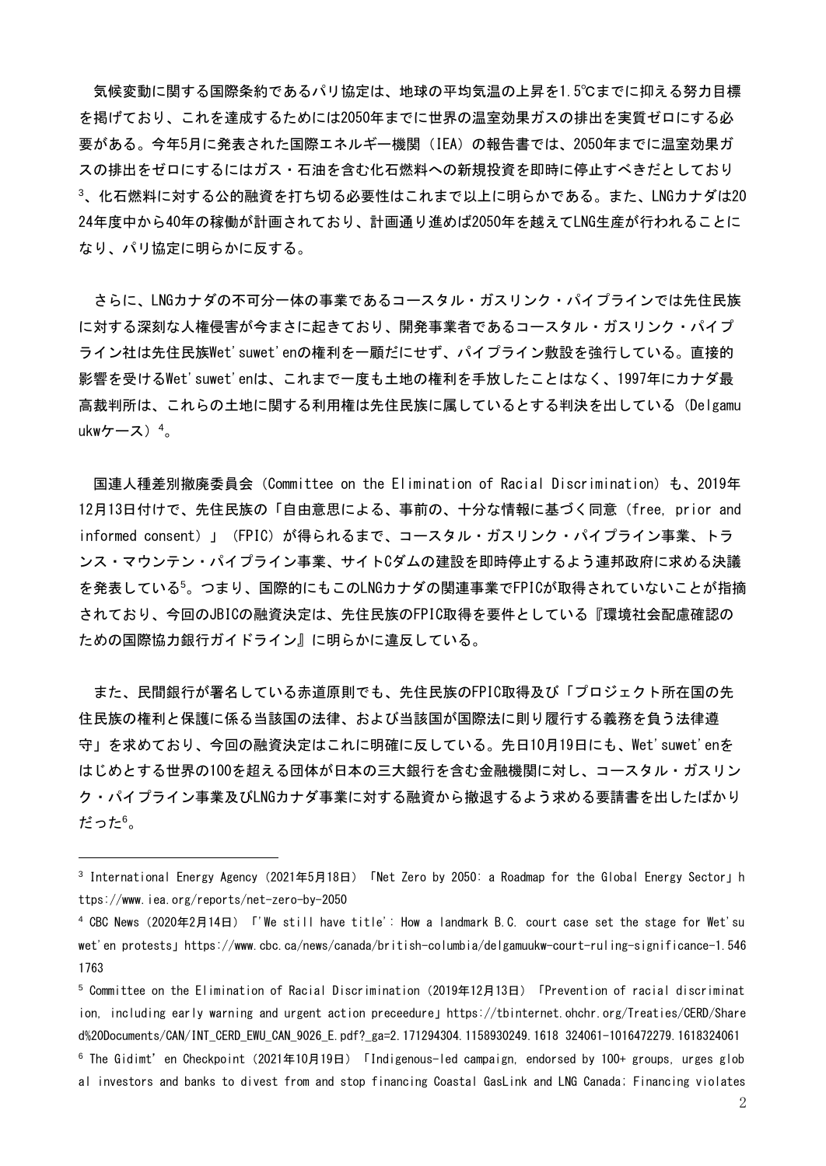気候変動に関する国際条約であるパリ協定は、地球の平均気温の上昇を1.5℃までに抑える努力目標 を掲げており、これを達成するためには2050年までに世界の温室効果ガスの排出を実質ゼロにする必 要がある。今年5月に発表された国際エネルギー機関(IEA)の報告書では、2050年までに温室効果ガ スの排出をゼロにするにはガス・石油を含む化石燃料への新規投資を即時に停止すべきだとしており <sup>3</sup>、化石燃料に対する公的融資を打ち切る必要性はこれまで以上に明らかである。また、LNGカナダは20 24年度中から40年の稼働が計画されており、計画通り進めば2050年を越えてLNG生産が行われることに なり、パリ協定に明らかに反する。

さらに、LNGカナダの不可分一体の事業であるコースタル・ガスリンク・パイプラインでは先住民族 に対する深刻な人権侵害が今まさに起きており、開発事業者であるコースタル・ガスリンク・パイプ ライン社は先住民族Wet'suwet'enの権利を一顧だにせず、パイプライン敷設を強行している。直接的 影響を受けるWet'suwet'enは、これまで一度も土地の権利を手放したことはなく、1997年にカナダ最 高裁判所は、これらの土地に関する利用権は先住民族に属しているとする判決を出している(Delgamu ukwケース) $4<sub>0</sub>$ 

国連人種差別撤廃委員会(Committee on the Elimination of Racial Discrimination)も、2019年 12月13日付けで、先住民族の「自由意思による、事前の、十分な情報に基づく同意(free, prior and informed consent)」(FPIC)が得られるまで、コースタル・ガスリンク・パイプライン事業、トラ ンス・マウンテン・パイプライン事業、サイトCダムの建設を即時停止するよう連邦政府に求める決議 を発表している<sup>5</sup>。つまり、国際的にもこのLNGカナダの関連事業でFPICが取得されていないことが指摘 されており、今回のJBICの融資決定は、先住民族のFPIC取得を要件としている『環境社会配慮確認の ための国際協力銀行ガイドライン』に明らかに違反している。

また、民間銀行が署名している赤道原則でも、先住民族のFPIC取得及び「プロジェクト所在国の先 住民族の権利と保護に係る当該国の法律、および当該国が国際法に則り履行する義務を負う法律遵 守」を求めており、今回の融資決定はこれに明確に反している。先日10月19日にも、Wet'suwet'enを はじめとする世界の100を超える団体が日本の三大銀行を含む金融機関に対し、コースタル・ガスリン ク・パイプライン事業及びLNGカナダ事業に対する融資から撤退するよう求める要請書を出したばかり だった<sup>6</sup>。

-

<sup>&</sup>lt;sup>3</sup> International Energy Agency(2021年5月18日)「Net Zero by 2050: a Roadmap for the Global Energy Sector」h ttps://www.iea.org/reports/net-zero-by-2050

<sup>4</sup> CBC News(2020年2月14日)「'We still have title': How a landmark B.C. court case set the stage for Wet'su wet'en protests」https://www.cbc.ca/news/canada/british-columbia/delgamuukw-court-ruling-significance-1.546 1763

 $^5$  Committee on the Elimination of Racial Discrimination (2019年12月13日) 「Prevention of racial discriminat ion, including early warning and urgent action preceedure」https://tbinternet.ohchr.org/Treaties/CERD/Share d%20Documents/CAN/INT\_CERD\_EWU\_CAN\_9026\_E.pdf?\_ga=2.171294304.1158930249.1618 324061-1016472279.1618324061

 $^6$  The Gidimt'en Checkpoint (2021年10月19日) 「Indigenous-led campaign, endorsed by 100+ groups, urges glob al investors and banks to divest from and stop financing Coastal GasLink and LNG Canada; Financing violates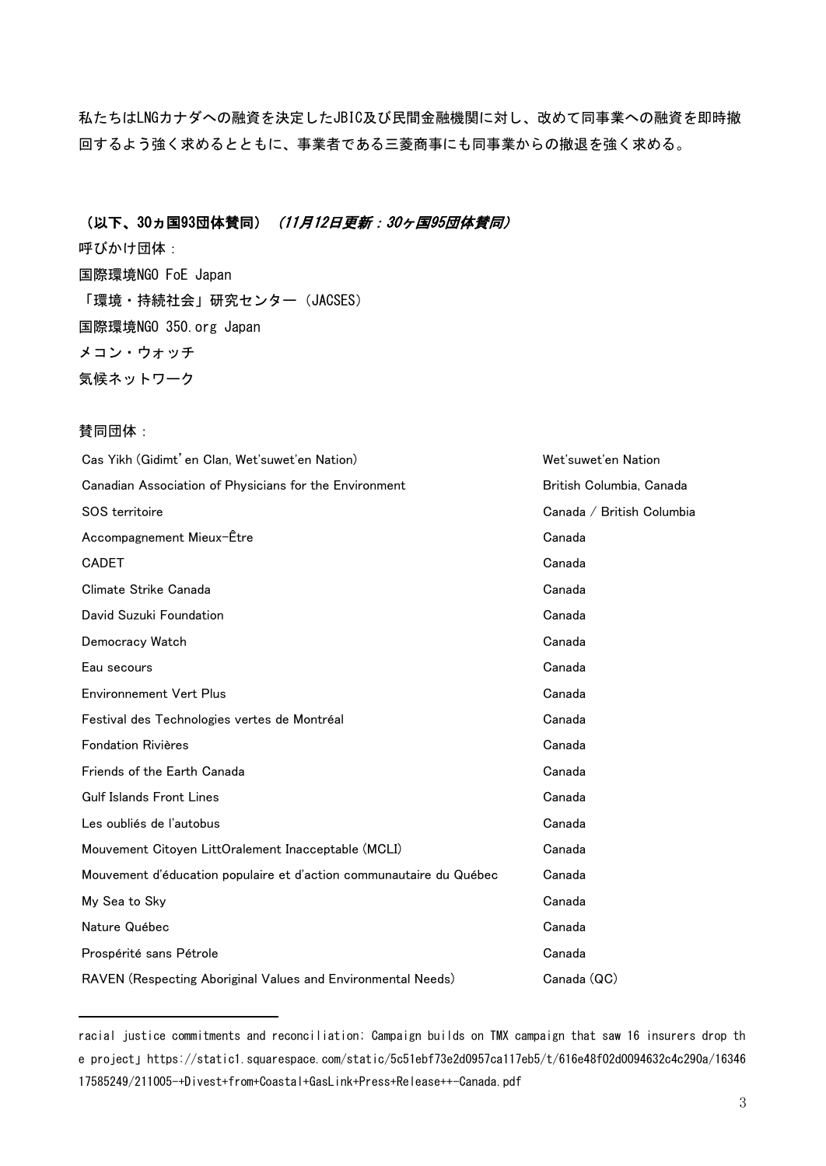私たちはLNGカナダへの融資を決定したJBIC及び民間金融機関に対し、改めて同事業への融資を即時撤 回するよう強く求めるとともに、事業者である三菱商事にも同事業からの撤退を強く求める。

#### (以下、30ヵ国93団体賛同) (11月12日更新:30ヶ国95団体賛同)

呼びかけ団体: 国際環境NGO FoE Japan 「環境·持続社会」研究センター (JACSES) 国際環境NGO 350.org Japan メコン・ウォッチ 気候ネットワーク

#### 賛同団体:

-

| Cas Yikh (Gidimt' en Clan, Wet'suwet'en Nation)                     | Wet'suwet'en Nation       |
|---------------------------------------------------------------------|---------------------------|
| Canadian Association of Physicians for the Environment              | British Columbia, Canada  |
| SOS territoire                                                      | Canada / British Columbia |
| Accompagnement Mieux-Etre                                           | Canada                    |
| <b>CADET</b>                                                        | Canada                    |
| Climate Strike Canada                                               | Canada                    |
| David Suzuki Foundation                                             | Canada                    |
| Democracy Watch                                                     | Canada                    |
| Eau secours                                                         | Canada                    |
| <b>Environnement Vert Plus</b>                                      | Canada                    |
| Festival des Technologies vertes de Montréal                        | Canada                    |
| <b>Fondation Rivières</b>                                           | Canada                    |
| Friends of the Earth Canada                                         | Canada                    |
| <b>Gulf Islands Front Lines</b>                                     | Canada                    |
| Les oubliés de l'autobus                                            | Canada                    |
| Mouvement Citoyen LittOralement Inacceptable (MCLI)                 | Canada                    |
| Mouvement d'éducation populaire et d'action communautaire du Québec | Canada                    |
| My Sea to Sky                                                       | Canada                    |
| Nature Québec                                                       | Canada                    |
| Prospérité sans Pétrole                                             | Canada                    |
| RAVEN (Respecting Aboriginal Values and Environmental Needs)        | Canada (QC)               |

racial justice commitments and reconciliation; Campaign builds on TMX campaign that saw 16 insurers drop th e project」https://static1.squarespace.com/static/5c51ebf73e2d0957ca117eb5/t/616e48f02d0094632c4c290a/16346 17585249/211005-+Divest+from+Coastal+GasLink+Press+Release++-Canada.pdf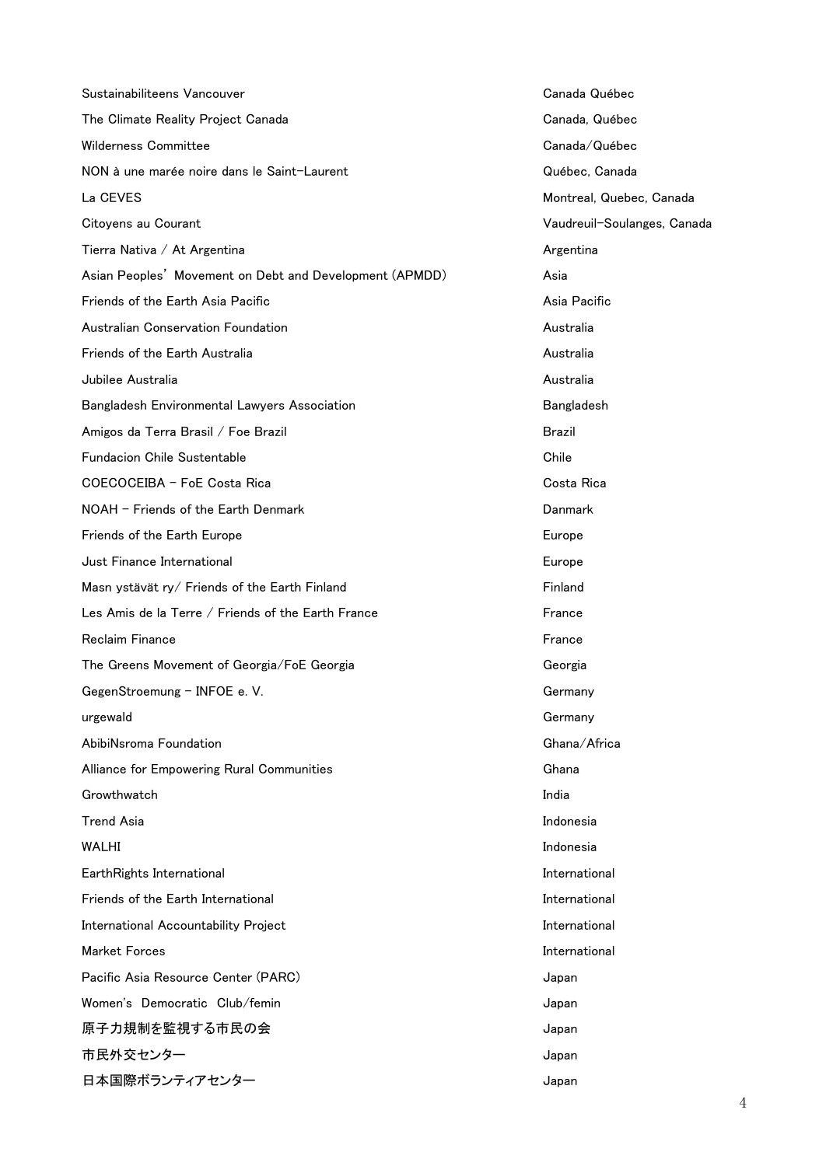| Sustainabiliteens Vancouver                             | Canada C        |
|---------------------------------------------------------|-----------------|
| The Climate Reality Project Canada                      | Canada, 0       |
| <b>Wilderness Committee</b>                             | Canada/         |
| NON à une marée noire dans le Saint-Laurent             | Québec,         |
| La CEVES                                                | Montreal,       |
| Citoyens au Courant                                     | Vaudreuil       |
| Tierra Nativa / At Argentina                            | Argentina       |
| Asian Peoples' Movement on Debt and Development (APMDD) | Asia            |
| Friends of the Earth Asia Pacific                       | Asia Paci       |
| Australian Conservation Foundation                      | Australia       |
| Friends of the Earth Australia                          | Australia       |
| Jubilee Australia                                       | Australia       |
| Bangladesh Environmental Lawyers Association            | <b>Banglade</b> |
| Amigos da Terra Brasil / Foe Brazil                     | <b>Brazil</b>   |
| <b>Fundacion Chile Sustentable</b>                      | Chile           |
| COECOCEIBA - FoE Costa Rica                             | Costa Rio       |
| NOAH - Friends of the Earth Denmark                     | Danmark         |
| Friends of the Earth Europe                             | Europe          |
| Just Finance International                              | Europe          |
| Masn ystävät ry/ Friends of the Earth Finland           | Finland         |
| Les Amis de la Terre / Friends of the Earth France      | France          |
| <b>Reclaim Finance</b>                                  | France          |
| The Greens Movement of Georgia/FoE Georgia              | Georgia         |
| GegenStroemung - INFOE e.V.                             | Germany         |
| urgewald                                                | Germany         |
| AbibiNsroma Foundation                                  | Ghana/A         |
| Alliance for Empowering Rural Communities               | Ghana           |
| Growthwatch                                             | India           |
| <b>Trend Asia</b>                                       | Indonesia       |
| <b>WALHI</b>                                            | Indonesia       |
| EarthRights International                               | Internatio      |
| Friends of the Earth International                      | Internatio      |
| International Accountability Project                    | Internatio      |
| <b>Market Forces</b>                                    | Internatio      |
| Pacific Asia Resource Center (PARC)                     | Japan           |
| Women's Democratic Club/femin                           | Japan           |
| 原子力規制を監視する市民の会                                          | Japan           |
| 市民外交センター                                                | Japan           |
| 日本国際ボランティアセンター                                          | Japan           |

Canada Québec Canada, Québec Canada/Québec Québec, Canada Montreal, Quebec, Canada Vaudreuil-Soulanges, Canada Argentina Asia Pacific Australia Bangladesh Costa Rica Germany Germany Ghana/Africa **International International** International International